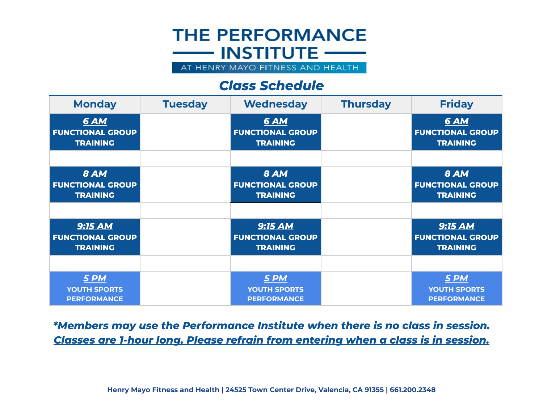## **THE PERFORMANCE**  $\longrightarrow$  INSTITUTE  $\longrightarrow$ AT HENRY MAYO FITNESS AND HEALTH

*Class Schedule*

| <b>Monday</b>                                             | <b>Tuesday</b> | <b>Wednesday</b>                                             | <b>Thursday</b> | <b>Friday</b>                                                |
|-----------------------------------------------------------|----------------|--------------------------------------------------------------|-----------------|--------------------------------------------------------------|
| <b>6 AM</b><br><b>FUNCTIONAL GROUP</b><br><b>TRAINING</b> |                | <b>6 AM</b><br><b>FUNCTIONAL GROUP</b><br><b>TRAINING</b>    |                 | <b>6 AM</b><br><b>FUNCTIONAL GROUP</b><br><b>TRAINING</b>    |
|                                                           |                |                                                              |                 |                                                              |
| <b>8 AM</b><br><b>FUNCTIONAL GROUP</b><br><b>TRAINING</b> |                | <b>8 AM</b><br><b>FUNCTIONAL GROUP</b><br><b>TRAINING</b>    |                 | <b>8 AM</b><br><b>FUNCTIONAL GROUP</b><br><b>TRAINING</b>    |
|                                                           |                |                                                              |                 |                                                              |
| 9:15 AM<br><b>FUNCTIONAL GROUP</b><br><b>TRAINING</b>     |                | <b>9:15 AM</b><br><b>FUNCTIONAL GROUP</b><br><b>TRAINING</b> |                 | <b>9:15 AM</b><br><b>FUNCTIONAL GROUP</b><br><b>TRAINING</b> |
|                                                           |                |                                                              |                 |                                                              |
| 5 PM<br><b>YOUTH SPORTS</b><br><b>PERFORMANCE</b>         |                | 5 PM<br><b>YOUTH SPORTS</b><br><b>PERFORMANCE</b>            |                 | 5 PM<br><b>YOUTH SPORTS</b><br><b>PERFORMANCE</b>            |

*\*Members may use the Performance Institute when there is no class in session. Classes are 1-hour long, Please refrain from entering when a class is in session.*